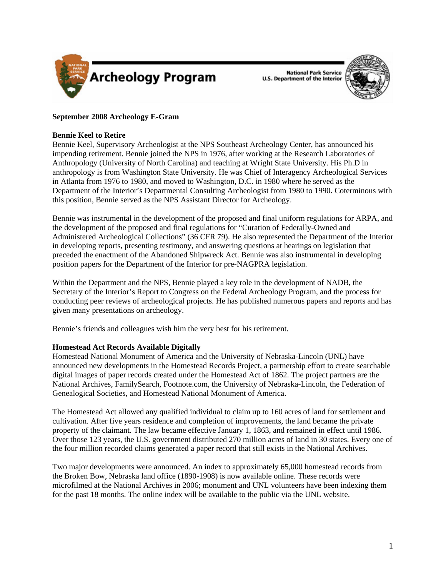

**National Park Service U.S. Department of the Interior** 



# **September 2008 Archeology E-Gram**

## **Bennie Keel to Retire**

Bennie Keel, Supervisory Archeologist at the NPS Southeast Archeology Center, has announced his impending retirement. Bennie joined the NPS in 1976, after working at the Research Laboratories of Anthropology (University of North Carolina) and teaching at Wright State University. His Ph.D in anthropology is from Washington State University. He was Chief of Interagency Archeological Services in Atlanta from 1976 to 1980, and moved to Washington, D.C. in 1980 where he served as the Department of the Interior's Departmental Consulting Archeologist from 1980 to 1990. Coterminous with this position, Bennie served as the NPS Assistant Director for Archeology.

Bennie was instrumental in the development of the proposed and final uniform regulations for ARPA, and the development of the proposed and final regulations for "Curation of Federally-Owned and Administered Archeological Collections" (36 CFR 79). He also represented the Department of the Interior in developing reports, presenting testimony, and answering questions at hearings on legislation that preceded the enactment of the Abandoned Shipwreck Act. Bennie was also instrumental in developing position papers for the Department of the Interior for pre-NAGPRA legislation.

Within the Department and the NPS, Bennie played a key role in the development of NADB, the Secretary of the Interior's Report to Congress on the Federal Archeology Program, and the process for conducting peer reviews of archeological projects. He has published numerous papers and reports and has given many presentations on archeology.

Bennie's friends and colleagues wish him the very best for his retirement.

## **Homestead Act Records Available Digitally**

Homestead National Monument of America and the University of Nebraska-Lincoln (UNL) have announced new developments in the Homestead Records Project, a partnership effort to create searchable digital images of paper records created under the Homestead Act of 1862. The project partners are the National Archives, FamilySearch, Footnote.com, the University of Nebraska-Lincoln, the Federation of Genealogical Societies, and Homestead National Monument of America.

The Homestead Act allowed any qualified individual to claim up to 160 acres of land for settlement and cultivation. After five years residence and completion of improvements, the land became the private property of the claimant. The law became effective January 1, 1863, and remained in effect until 1986. Over those 123 years, the U.S. government distributed 270 million acres of land in 30 states. Every one of the four million recorded claims generated a paper record that still exists in the National Archives.

Two major developments were announced. An index to approximately 65,000 homestead records from the Broken Bow, Nebraska land office (1890-1908) is now available online. These records were microfilmed at the National Archives in 2006; monument and UNL volunteers have been indexing them for the past 18 months. The online index will be available to the public via the UNL website.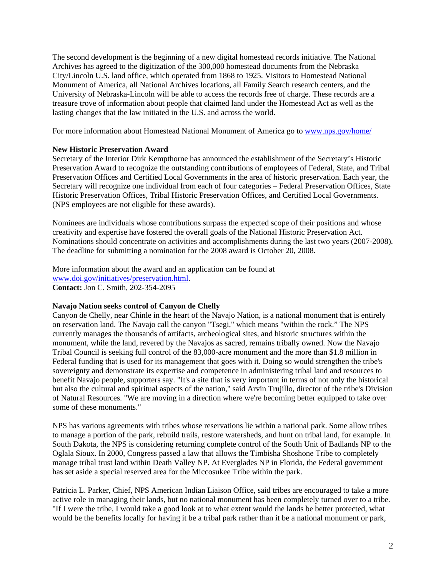The second development is the beginning of a new digital homestead records initiative. The National Archives has agreed to the digitization of the 300,000 homestead documents from the Nebraska City/Lincoln U.S. land office, which operated from 1868 to 1925. Visitors to Homestead National Monument of America, all National Archives locations, all Family Search research centers, and the University of Nebraska-Lincoln will be able to access the records free of charge. These records are a treasure trove of information about people that claimed land under the Homestead Act as well as the lasting changes that the law initiated in the U.S. and across the world.

For more information about Homestead National Monument of America go to <www.nps.gov/home/>

### **New Historic Preservation Award**

Secretary of the Interior Dirk Kempthorne has announced the establishment of the Secretary's Historic Preservation Award to recognize the outstanding contributions of employees of Federal, State, and Tribal Preservation Offices and Certified Local Governments in the area of historic preservation. Each year, the Secretary will recognize one individual from each of four categories – Federal Preservation Offices, State Historic Preservation Offices, Tribal Historic Preservation Offices, and Certified Local Governments. (NPS employees are not eligible for these awards).

Nominees are individuals whose contributions surpass the expected scope of their positions and whose creativity and expertise have fostered the overall goals of the National Historic Preservation Act. Nominations should concentrate on activities and accomplishments during the last two years (2007-2008). The deadline for submitting a nomination for the 2008 award is October 20, 2008.

More information about the award and an application can be found at [www.doi.gov/initiatives/preservation.html.](www.doi.gov/initiatives/preservation.html) **Contact:** Jon C. Smith, 202-354-2095

#### **Navajo Nation seeks control of Canyon de Chelly**

Canyon de Chelly, near Chinle in the heart of the Navajo Nation, is a national monument that is entirely on reservation land. The Navajo call the canyon "Tsegi," which means "within the rock." The NPS currently manages the thousands of artifacts, archeological sites, and historic structures within the monument, while the land, revered by the Navajos as sacred, remains tribally owned. Now the Navajo Tribal Council is seeking full control of the 83,000-acre monument and the more than \$1.8 million in Federal funding that is used for its management that goes with it. Doing so would strengthen the tribe's sovereignty and demonstrate its expertise and competence in administering tribal land and resources to benefit Navajo people, supporters say. "It's a site that is very important in terms of not only the historical but also the cultural and spiritual aspects of the nation," said Arvin Trujillo, director of the tribe's Division of Natural Resources. "We are moving in a direction where we're becoming better equipped to take over some of these monuments."

NPS has various agreements with tribes whose reservations lie within a national park. Some allow tribes to manage a portion of the park, rebuild trails, restore watersheds, and hunt on tribal land, for example. In South Dakota, the NPS is considering returning complete control of the South Unit of Badlands NP to the Oglala Sioux. In 2000, Congress passed a law that allows the Timbisha Shoshone Tribe to completely manage tribal trust land within Death Valley NP. At Everglades NP in Florida, the Federal government has set aside a special reserved area for the Miccosukee Tribe within the park.

Patricia L. Parker, Chief, NPS American Indian Liaison Office, said tribes are encouraged to take a more active role in managing their lands, but no national monument has been completely turned over to a tribe. "If I were the tribe, I would take a good look at to what extent would the lands be better protected, what would be the benefits locally for having it be a tribal park rather than it be a national monument or park,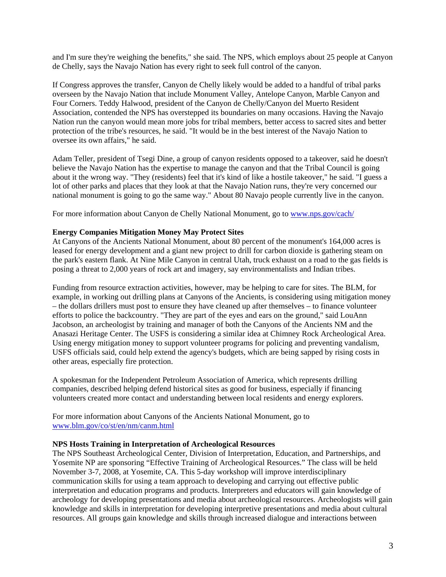and I'm sure they're weighing the benefits," she said. The NPS, which employs about 25 people at Canyon de Chelly, says the Navajo Nation has every right to seek full control of the canyon.

If Congress approves the transfer, Canyon de Chelly likely would be added to a handful of tribal parks overseen by the Navajo Nation that include Monument Valley, Antelope Canyon, Marble Canyon and Four Corners. Teddy Halwood, president of the Canyon de Chelly/Canyon del Muerto Resident Association, contended the NPS has overstepped its boundaries on many occasions. Having the Navajo Nation run the canyon would mean more jobs for tribal members, better access to sacred sites and better protection of the tribe's resources, he said. "It would be in the best interest of the Navajo Nation to oversee its own affairs," he said.

Adam Teller, president of Tsegi Dine, a group of canyon residents opposed to a takeover, said he doesn't believe the Navajo Nation has the expertise to manage the canyon and that the Tribal Council is going about it the wrong way. "They (residents) feel that it's kind of like a hostile takeover," he said. "I guess a lot of other parks and places that they look at that the Navajo Nation runs, they're very concerned our national monument is going to go the same way." About 80 Navajo people currently live in the canyon.

For more information about Canyon de Chelly National Monument, go to <www.nps.gov/cach/>

## **Energy Companies Mitigation Money May Protect Sites**

At Canyons of the Ancients National Monument, about 80 percent of the monument's 164,000 acres is leased for energy development and a giant new project to drill for carbon dioxide is gathering steam on the park's eastern flank. At Nine Mile Canyon in central Utah, truck exhaust on a road to the gas fields is posing a threat to 2,000 years of rock art and imagery, say environmentalists and Indian tribes.

Funding from resource extraction activities, however, may be helping to care for sites. The BLM, for example, in working out drilling plans at Canyons of the Ancients, is considering using mitigation money – the dollars drillers must post to ensure they have cleaned up after themselves – to finance volunteer efforts to police the backcountry. "They are part of the eyes and ears on the ground," said LouAnn Jacobson, an archeologist by training and manager of both the Canyons of the Ancients NM and the Anasazi Heritage Center. The USFS is considering a similar idea at Chimney Rock Archeological Area. Using energy mitigation money to support volunteer programs for policing and preventing vandalism, USFS officials said, could help extend the agency's budgets, which are being sapped by rising costs in other areas, especially fire protection.

A spokesman for the Independent Petroleum Association of America, which represents drilling companies, described helping defend historical sites as good for business, especially if financing volunteers created more contact and understanding between local residents and energy explorers.

For more information about Canyons of the Ancients National Monument, go to <www.blm.gov/co/st/en/nm/canm.html>

### **NPS Hosts Training in Interpretation of Archeological Resources**

The NPS Southeast Archeological Center, Division of Interpretation, Education, and Partnerships, and Yosemite NP are sponsoring "Effective Training of Archeological Resources." The class will be held November 3-7, 2008, at Yosemite, CA. This 5-day workshop will improve interdisciplinary communication skills for using a team approach to developing and carrying out effective public interpretation and education programs and products. Interpreters and educators will gain knowledge of archeology for developing presentations and media about archeological resources. Archeologists will gain knowledge and skills in interpretation for developing interpretive presentations and media about cultural resources. All groups gain knowledge and skills through increased dialogue and interactions between